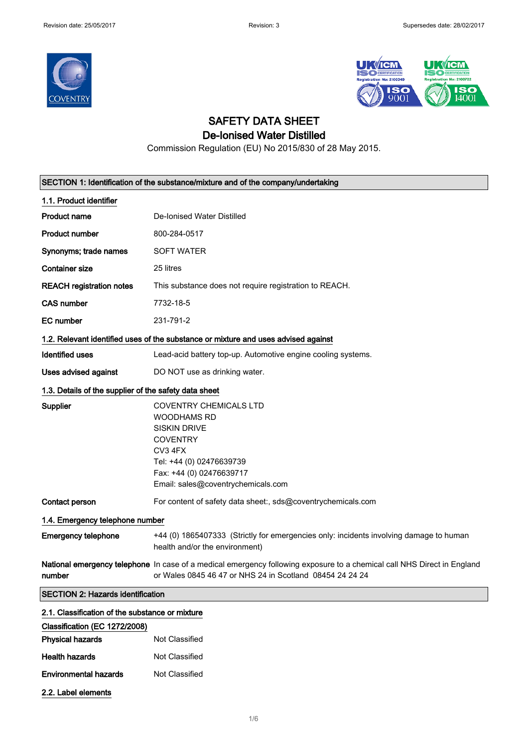



# SAFETY DATA SHEET

# De-Ionised Water Distilled

Commission Regulation (EU) No 2015/830 of 28 May 2015.

|                                                       | SECTION 1: Identification of the substance/mixture and of the company/undertaking                                                                                                                      |  |
|-------------------------------------------------------|--------------------------------------------------------------------------------------------------------------------------------------------------------------------------------------------------------|--|
| 1.1. Product identifier                               |                                                                                                                                                                                                        |  |
| <b>Product name</b>                                   | De-Ionised Water Distilled                                                                                                                                                                             |  |
| <b>Product number</b>                                 | 800-284-0517                                                                                                                                                                                           |  |
| Synonyms; trade names                                 | <b>SOFT WATER</b>                                                                                                                                                                                      |  |
| <b>Container size</b>                                 | 25 litres                                                                                                                                                                                              |  |
| <b>REACH registration notes</b>                       | This substance does not require registration to REACH.                                                                                                                                                 |  |
| <b>CAS number</b>                                     | 7732-18-5                                                                                                                                                                                              |  |
| <b>EC</b> number                                      | 231-791-2                                                                                                                                                                                              |  |
|                                                       | 1.2. Relevant identified uses of the substance or mixture and uses advised against                                                                                                                     |  |
| <b>Identified uses</b>                                | Lead-acid battery top-up. Automotive engine cooling systems.                                                                                                                                           |  |
| <b>Uses advised against</b>                           | DO NOT use as drinking water.                                                                                                                                                                          |  |
| 1.3. Details of the supplier of the safety data sheet |                                                                                                                                                                                                        |  |
| Supplier                                              | <b>COVENTRY CHEMICALS LTD</b><br><b>WOODHAMS RD</b><br><b>SISKIN DRIVE</b><br><b>COVENTRY</b><br>CV3 4FX<br>Tel: +44 (0) 02476639739<br>Fax: +44 (0) 02476639717<br>Email: sales@coventrychemicals.com |  |
| Contact person                                        | For content of safety data sheet:, sds@coventrychemicals.com                                                                                                                                           |  |
| 1.4. Emergency telephone number                       |                                                                                                                                                                                                        |  |
| <b>Emergency telephone</b>                            | +44 (0) 1865407333 (Strictly for emergencies only: incidents involving damage to human<br>health and/or the environment)                                                                               |  |
| number                                                | National emergency telephone In case of a medical emergency following exposure to a chemical call NHS Direct in England<br>or Wales 0845 46 47 or NHS 24 in Scotland 08454 24 24 24                    |  |
| <b>SECTION 2: Hazards identification</b>              |                                                                                                                                                                                                        |  |
| 2.1. Classification of the substance or mixture       |                                                                                                                                                                                                        |  |
| Classification (EC 1272/2008)                         |                                                                                                                                                                                                        |  |
| <b>Physical hazards</b>                               | Not Classified                                                                                                                                                                                         |  |
| <b>Health hazards</b>                                 | Not Classified                                                                                                                                                                                         |  |
| <b>Environmental hazards</b>                          | Not Classified                                                                                                                                                                                         |  |
| 2.2. Label elements                                   |                                                                                                                                                                                                        |  |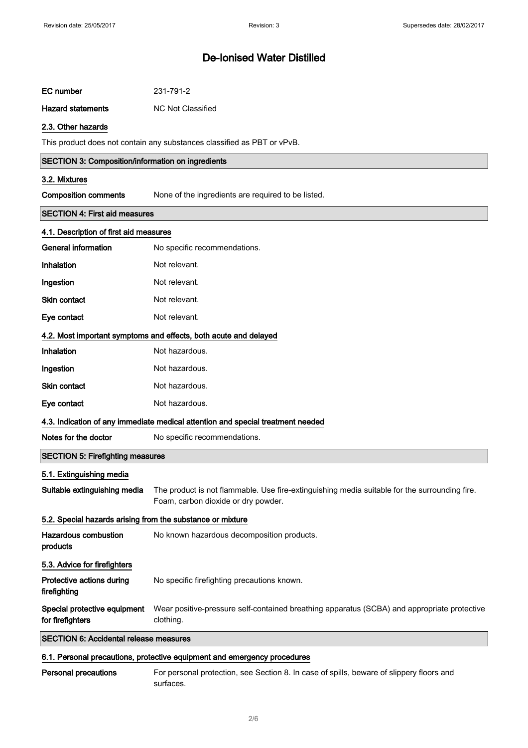| EC number | 231-791-2 |
|-----------|-----------|
|-----------|-----------|

## Hazard statements MC Not Classified

#### 2.3. Other hazards

This product does not contain any substances classified as PBT or vPvB.

## SECTION 3: Composition/information on ingredients

#### 3.2. Mixtures

Composition comments None of the ingredients are required to be listed.

| <b>SECTION 4: First aid measures</b>                             |                                                                                                                                      |  |
|------------------------------------------------------------------|--------------------------------------------------------------------------------------------------------------------------------------|--|
| 4.1. Description of first aid measures                           |                                                                                                                                      |  |
| <b>General information</b>                                       | No specific recommendations.                                                                                                         |  |
| Inhalation                                                       | Not relevant.                                                                                                                        |  |
| Ingestion                                                        | Not relevant.                                                                                                                        |  |
| <b>Skin contact</b>                                              | Not relevant.                                                                                                                        |  |
| Eye contact                                                      | Not relevant.                                                                                                                        |  |
| 4.2. Most important symptoms and effects, both acute and delayed |                                                                                                                                      |  |
| Inhalation                                                       | Not hazardous.                                                                                                                       |  |
| Ingestion                                                        | Not hazardous.                                                                                                                       |  |
| <b>Skin contact</b>                                              | Not hazardous.                                                                                                                       |  |
| Eye contact                                                      | Not hazardous.                                                                                                                       |  |
|                                                                  | 4.3. Indication of any immediate medical attention and special treatment needed                                                      |  |
| Notes for the doctor                                             | No specific recommendations.                                                                                                         |  |
| <b>SECTION 5: Firefighting measures</b>                          |                                                                                                                                      |  |
| 5.1. Extinguishing media                                         |                                                                                                                                      |  |
| Suitable extinguishing media                                     | The product is not flammable. Use fire-extinguishing media suitable for the surrounding fire.<br>Foam, carbon dioxide or dry powder. |  |
| 5.2. Special hazards arising from the substance or mixture       |                                                                                                                                      |  |
| <b>Hazardous combustion</b><br>products                          | No known hazardous decomposition products.                                                                                           |  |
| 5.3. Advice for firefighters                                     |                                                                                                                                      |  |
| Protective actions during<br>firefighting                        | No specific firefighting precautions known.                                                                                          |  |
| Special protective equipment<br>for firefighters                 | Wear positive-pressure self-contained breathing apparatus (SCBA) and appropriate protective<br>clothing.                             |  |
| <b>SECTION 6: Accidental release measures</b>                    |                                                                                                                                      |  |

## 6.1. Personal precautions, protective equipment and emergency procedures

Personal precautions For personal protection, see Section 8. In case of spills, beware of slippery floors and surfaces.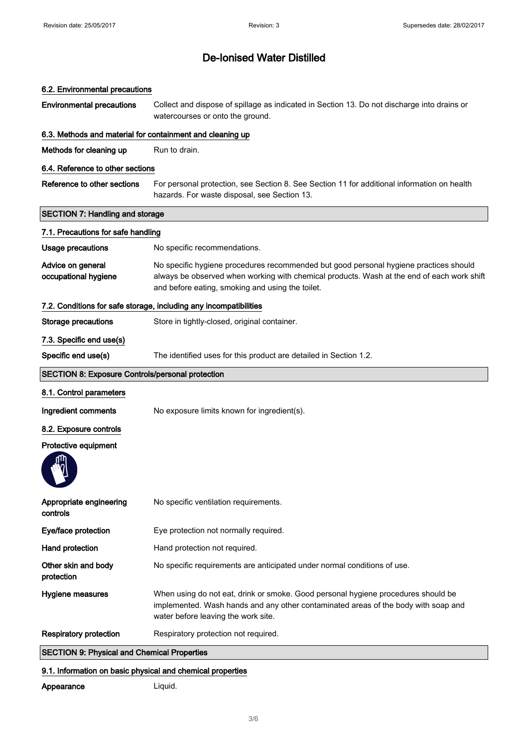#### 6.2. Environmental precautions

Environmental precautions Collect and dispose of spillage as indicated in Section 13. Do not discharge into drains or watercourses or onto the ground.

### 6.3. Methods and material for containment and cleaning up

Methods for cleaning up Run to drain.

#### 6.4. Reference to other sections

Reference to other sections For personal protection, see Section 8. See Section 11 for additional information on health hazards. For waste disposal, see Section 13.

# SECTION 7: Handling and storage 7.1. Precautions for safe handling Usage precautions Mo specific recommendations. Advice on general occupational hygiene No specific hygiene procedures recommended but good personal hygiene practices should always be observed when working with chemical products. Wash at the end of each work shift and before eating, smoking and using the toilet. 7.2. Conditions for safe storage, including any incompatibilities Storage precautions Store in tightly-closed, original container. 7.3. Specific end use(s) Specific end use(s) The identified uses for this product are detailed in Section 1.2. SECTION 8: Exposure Controls/personal protection 8.1. Control parameters Ingredient comments No exposure limits known for ingredient(s). 8.2. Exposure controls Protective equipment Appropriate engineering controls No specific ventilation requirements. Eye/face protection Eye protection not normally required. Hand protection Hand protection not required. Other skin and body protection No specific requirements are anticipated under normal conditions of use. Hygiene measures **When using do not eat, drink or smoke. Good personal hygiene procedures should be** implemented. Wash hands and any other contaminated areas of the body with soap and water before leaving the work site. Respiratory protection Respiratory protection not required.

### SECTION 9: Physical and Chemical Properties

#### 9.1. Information on basic physical and chemical properties

Appearance Liquid.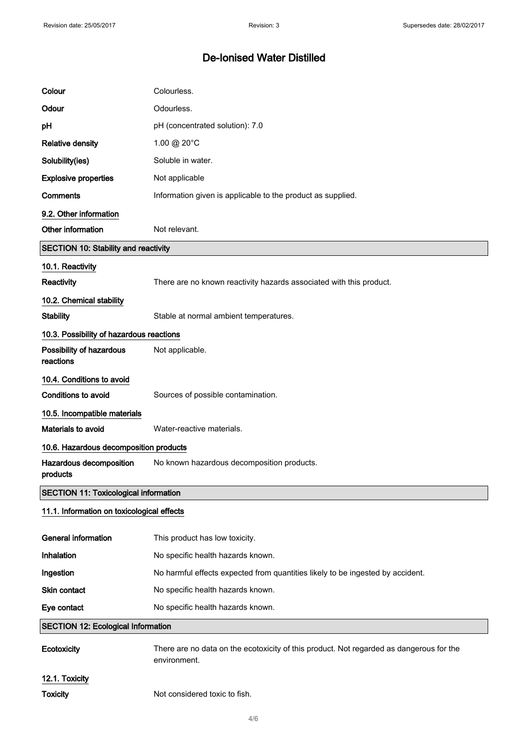| Colour                                       | Colourless.                                                                                             |
|----------------------------------------------|---------------------------------------------------------------------------------------------------------|
| Odour                                        | Odourless.                                                                                              |
| рH                                           | pH (concentrated solution): 7.0                                                                         |
| <b>Relative density</b>                      | 1.00 @ 20°C                                                                                             |
| Solubility(ies)                              | Soluble in water.                                                                                       |
| <b>Explosive properties</b>                  | Not applicable                                                                                          |
| Comments                                     | Information given is applicable to the product as supplied.                                             |
| 9.2. Other information                       |                                                                                                         |
| Other information                            | Not relevant.                                                                                           |
| <b>SECTION 10: Stability and reactivity</b>  |                                                                                                         |
| 10.1. Reactivity                             |                                                                                                         |
| Reactivity                                   | There are no known reactivity hazards associated with this product.                                     |
| 10.2. Chemical stability                     |                                                                                                         |
| <b>Stability</b>                             | Stable at normal ambient temperatures.                                                                  |
| 10.3. Possibility of hazardous reactions     |                                                                                                         |
| Possibility of hazardous<br>reactions        | Not applicable.                                                                                         |
| 10.4. Conditions to avoid                    |                                                                                                         |
| <b>Conditions to avoid</b>                   | Sources of possible contamination.                                                                      |
| 10.5. Incompatible materials                 |                                                                                                         |
| Materials to avoid                           | Water-reactive materials.                                                                               |
| 10.6. Hazardous decomposition products       |                                                                                                         |
| Hazardous decomposition<br>products          | No known hazardous decomposition products.                                                              |
| <b>SECTION 11: Toxicological information</b> |                                                                                                         |
| 11.1. Information on toxicological effects   |                                                                                                         |
| <b>General information</b>                   | This product has low toxicity.                                                                          |
| Inhalation                                   | No specific health hazards known.                                                                       |
| Ingestion                                    | No harmful effects expected from quantities likely to be ingested by accident.                          |
| <b>Skin contact</b>                          | No specific health hazards known.                                                                       |
| Eye contact                                  | No specific health hazards known.                                                                       |
| <b>SECTION 12: Ecological Information</b>    |                                                                                                         |
| Ecotoxicity                                  | There are no data on the ecotoxicity of this product. Not regarded as dangerous for the<br>environment. |
| 12.1. Toxicity                               |                                                                                                         |
| <b>Toxicity</b>                              | Not considered toxic to fish.                                                                           |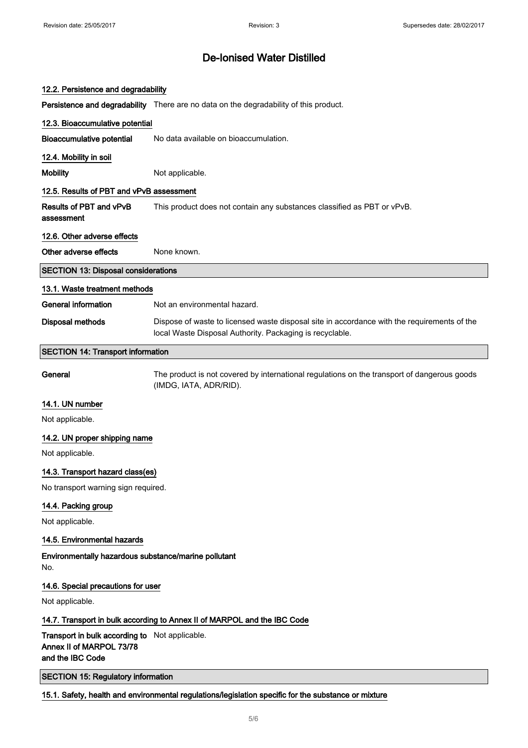| 12.2. Persistence and degradability                                                            |                                                                                                                                                         |
|------------------------------------------------------------------------------------------------|---------------------------------------------------------------------------------------------------------------------------------------------------------|
|                                                                                                | Persistence and degradability There are no data on the degradability of this product.                                                                   |
| 12.3. Bioaccumulative potential                                                                |                                                                                                                                                         |
| <b>Bioaccumulative potential</b>                                                               | No data available on bioaccumulation.                                                                                                                   |
| 12.4. Mobility in soil                                                                         |                                                                                                                                                         |
| <b>Mobility</b>                                                                                | Not applicable.                                                                                                                                         |
| 12.5. Results of PBT and vPvB assessment                                                       |                                                                                                                                                         |
| Results of PBT and vPvB<br>assessment                                                          | This product does not contain any substances classified as PBT or vPvB.                                                                                 |
| 12.6. Other adverse effects                                                                    |                                                                                                                                                         |
| Other adverse effects                                                                          | None known.                                                                                                                                             |
| <b>SECTION 13: Disposal considerations</b>                                                     |                                                                                                                                                         |
| 13.1. Waste treatment methods                                                                  |                                                                                                                                                         |
| <b>General information</b>                                                                     | Not an environmental hazard.                                                                                                                            |
| <b>Disposal methods</b>                                                                        | Dispose of waste to licensed waste disposal site in accordance with the requirements of the<br>local Waste Disposal Authority. Packaging is recyclable. |
| <b>SECTION 14: Transport information</b>                                                       |                                                                                                                                                         |
| General                                                                                        | The product is not covered by international regulations on the transport of dangerous goods<br>(IMDG, IATA, ADR/RID).                                   |
| 14.1. UN number                                                                                |                                                                                                                                                         |
| Not applicable.                                                                                |                                                                                                                                                         |
| 14.2. UN proper shipping name                                                                  |                                                                                                                                                         |
| Not applicable.                                                                                |                                                                                                                                                         |
| 14.3. Transport hazard class(es)                                                               |                                                                                                                                                         |
| No transport warning sign required.                                                            |                                                                                                                                                         |
| 14.4. Packing group                                                                            |                                                                                                                                                         |
| Not applicable.                                                                                |                                                                                                                                                         |
| 14.5. Environmental hazards                                                                    |                                                                                                                                                         |
| Environmentally hazardous substance/marine pollutant<br>No.                                    |                                                                                                                                                         |
| 14.6. Special precautions for user                                                             |                                                                                                                                                         |
| Not applicable.                                                                                |                                                                                                                                                         |
| 14.7. Transport in bulk according to Annex II of MARPOL and the IBC Code                       |                                                                                                                                                         |
| Transport in bulk according to Not applicable.<br>Annex II of MARPOL 73/78<br>and the IBC Code |                                                                                                                                                         |
| <b>SECTION 15: Regulatory information</b>                                                      |                                                                                                                                                         |

## 15.1. Safety, health and environmental regulations/legislation specific for the substance or mixture